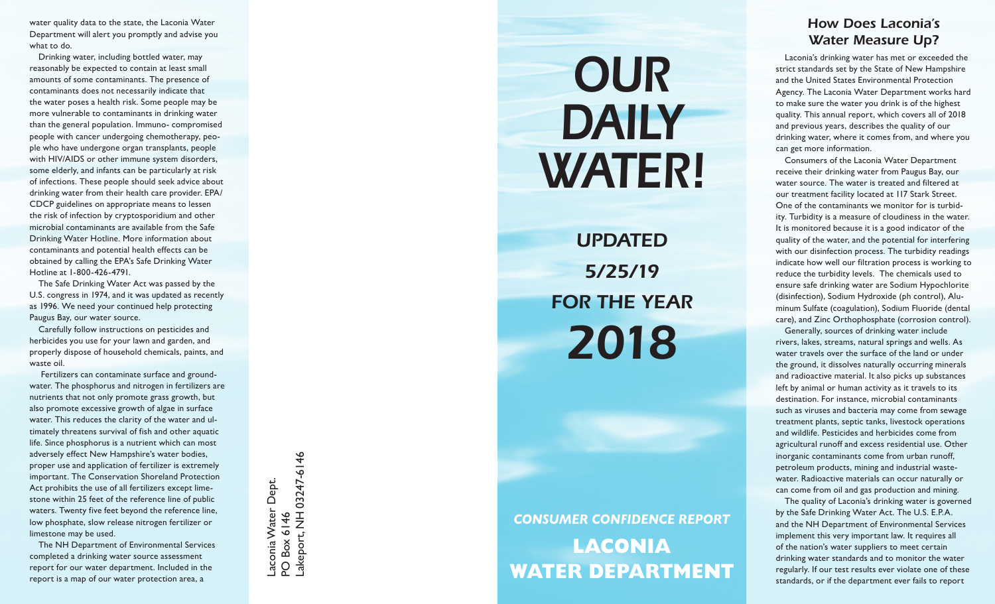water quality data to the state, the Laconia Water Department will alert you promptly and advise you what to do.

Drinking water, including bottled water, may reasonably be expected to contain at least small amounts of some contaminants. The presence of contaminants does not necessarily indicate that the water poses a health risk. Some people may be more vulnerable to contaminants in drinking water than the general population. Immuno- compromised people with cancer undergoing chemotherapy, peo ple who have undergone organ transplants, people with HIV/AIDS or other immune system disorders, some elderly, and infants can be particularly at risk of infections. These people should seek advice about drinking water from their health care provider. EPA/ CDCP guidelines on appropriate means to lessen the risk of infection by cryptosporidium and other microbial contaminants are available from the Safe Drinking Water Hotline. More information about contaminants and potential health effects can be obtained by calling the EPA's Safe Drinking Water Hotline at 1-800-426-4791.

The Safe Drinking Water Act was passed by the U.S. congress in 1974, and it was updated as recently as 1996. We need your continued help protecting Paugus Bay, our water source.

Carefully follow instructions on pesticides and herbicides you use for your lawn and garden, and properly dispose of household chemicals, paints, and waste oil.

 Fertilizers can contaminate surface and ground water. The phosphorus and nitrogen in fertilizers are nutrients that not only promote grass growth, but also promote excessive growth of algae in surface water. This reduces the clarity of the water and ul timately threatens survival of fish and other aquatic life. Since phosphorus is a nutrient which can most adversely effect New Hampshire's water bodies, proper use and application of fertilizer is extremely important. The Conservation Shoreland Protection Act prohibits the use of all fertilizers except lime stone within 25 feet of the reference line of public waters. Twenty five feet beyond the reference line, low phosphate, slow release nitrogen fertilizer or limestone may be used.

The NH Department of Environmental Services completed a drinking water source assessment report for our water department. Included in the report is a map of our water protection area, a

-akeport, NH 03247-6146 03247-6146Laconia Water Dept.<br>PO Box 6146 Laconia Water Dept. Lakeport, NH PO Box 6146

## *OUR DAILY WATER!*

*Updated 5/25/19* **FOR THE Y** *2018*

## *CONSUMER CONFIDENCE REPORT* **LACONIA WATER DEPart ment**

## *How Does Laconia's Water Measure Up?*

Laconia's drinking water has met or exceeded the strict standards set by the State of New Hampshire and the United States Environmental Protection Agency. The Laconia Water Department works hard to make sure the water you drink is of the highest quality. This annual report, which covers all of 2018 and previous years, describes the quality of our drinking water, where it comes from, and where you can get more information.

Consumers of the Laconia Water Department receive their drinking water from Paugus Bay, our water source. The water is treated and filtered at our treatment facility located at 117 Stark Street. One of the contaminants we monitor for is turbid ity. Turbidity is a measure of cloudiness in the water. It is monitored because it is a good indicator of the quality of the water, and the potential for interfering with our disinfection process. The turbidity readings indicate how well our filtration process is working to reduce the turbidity levels. The chemicals used to ensure safe drinking water are Sodium Hypochlorite (disinfection), Sodium Hydroxide (ph control), Alu minum Sulfate (coagulation), Sodium Fluoride (dental care), and Zinc Orthophosphate (corrosion control).

Generally, sources of drinking water include rivers, lakes, streams, natural springs and wells. As water travels over the surface of the land or under the ground, it dissolves naturally occurring minerals and radioactive material. It also picks up substances left by animal or human activity as it travels to its destination. For instance, microbial contaminants such as viruses and bacteria may come from sewage treatment plants, septic tanks, livestock operations and wildlife. Pesticides and herbicides come from agricultural runoff and excess residential use. Other inorganic contaminants come from urban runoff, petroleum products, mining and industrial wastewater. Radioactive materials can occur naturally or can come from oil and gas production and mining.

The quality of Laconia's drinking water is governed by the Safe Drinking Water Act. The U.S. E.P.A. and the NH Department of Environmental Services implement this very important law. It requires all of the nation's water suppliers to meet certain drinking water standards and to monitor the water regularly. If our test results ever violate one of these standards, or if the department ever fails to report